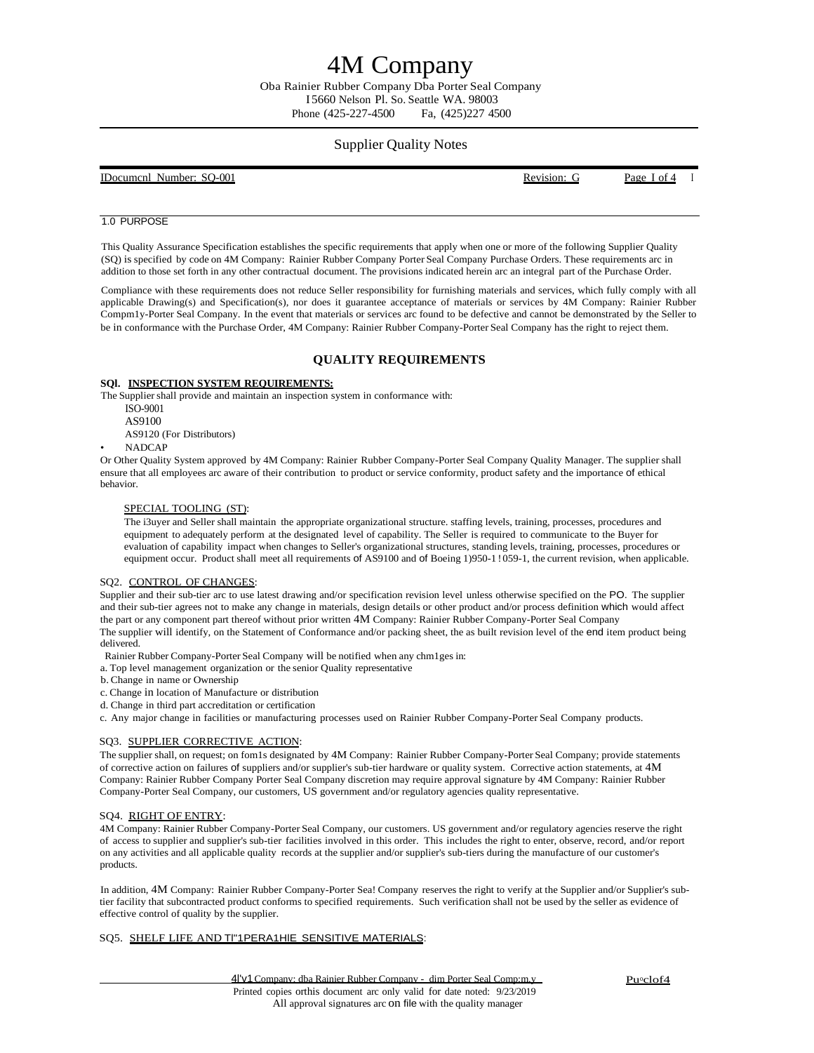# 4M Company

Oba Rainier Rubber Company Dba Porter Seal Company I 5660 Nelson Pl. So. Seattle WA. 98003 Phone (425-227-4500 Fa, (425) 227 4500

### Supplier Quality Notes

| IDocumenl Number: SO-001<br>Page Lof4<br>Revision: G |  |  |  |
|------------------------------------------------------|--|--|--|
|------------------------------------------------------|--|--|--|

### 1.0 PURPOSE

This Quality Assurance Specification establishes the specific requirements that apply when one or more of the following Supplier Quality (SQ) is specified by code on 4M Company: Rainier Rubber Company Porter Seal Company Purchase Orders. These requirements arc in addition to those set forth in any other contractual document. The provisions indicated herein arc an integral part of the Purchase Order.

Compliance with these requirements does not reduce Seller responsibility for furnishing materials and services, which fully comply with all applicable Drawing(s) and Specification(s), nor does it guarantee acceptance of materials or services by 4M Company: Rainier Rubber Compm1y-Porter Seal Company. In the event that materials or services arc found to be defective and cannot be demonstrated by the Seller to be in conformance with the Purchase Order, 4M Company: Rainier Rubber Company-Porter Seal Company has the right to reject them.

### **QUALITY REQUIREMENTS**

### **SQl. INSPECTION SYSTEM REQUIREMENTS:**

The Supplier shall provide and maintain an inspection system in conformance with:

ISO-9001 AS9100

AS9120 (For Distributors)

### • NADCAP

Or Other Quality System approved by 4M Company: Rainier Rubber Company-Porter Seal Company Quality Manager. The supplier shall ensure that all employees arc aware of their contribution to product or service conformity, product safety and the importance of ethical behavior.

### SPECIAL TOOLING (ST):

The i3uyer and Seller shall maintain the appropriate organizational structure. staffing levels, training, processes, procedures and equipment to adequately perform at the designated level of capability. The Seller is required to communicate to the Buyer for evaluation of capability impact when changes to Seller's organizational structures, standing levels, training, processes, procedures or equipment occur. Product shall meet all requirements of AS9100 and of Boeing 1)950-1 !059-1, the current revision, when applicable.

### SQ2. CONTROL OF CHANGES:

Supplier and their sub-tier arc to use latest drawing and/or specification revision level unless otherwise specified on the PO. The supplier and their sub-tier agrees not to make any change in materials, design details or other product and/or process definition which would affect the part or any component part thereof without prior written 4M Company: Rainier Rubber Company-Porter Seal Company The supplier will identify, on the Statement of Conformance and/or packing sheet, the as built revision level of the end item product being delivered.

Rainier Rubber Company-Porter Seal Company will be notified when any chm1ges in:

- a. Top level management organization or the senior Quality representative
- b.Change in name or Ownership
- c. Change in location of Manufacture or distribution
- d. Change in third part accreditation or certification
- c. Any major change in facilities or manufacturing processes used on Rainier Rubber Company-Porter Seal Company products.

### SQ3. SUPPLIER CORRECTIVE ACTION:

The supplier shall, on request; on fom1s designated by 4M Company: Rainier Rubber Company-Porter Seal Company; provide statements of corrective action on failures of suppliers and/or supplier's sub-tier hardware or quality system. Corrective action statements, at 4M Company: Rainier Rubber Company Porter Seal Company discretion may require approval signature by 4M Company: Rainier Rubber Company-Porter Seal Company, our customers, US government and/or regulatory agencies quality representative.

### SQ4. RIGHT OF ENTRY:

4M Company: Rainier Rubber Company-Porter Seal Company, our customers. US government and/or regulatory agencies reserve the right of access to supplier and supplier's sub-tier facilities involved in this order. This includes the right to enter, observe, record, and/or report on any activities and all applicable quality records at the supplier and/or supplier's sub-tiers during the manufacture of our customer's products.

In addition, 4M Company: Rainier Rubber Company-Porter Sea! Company reserves the right to verify at the Supplier and/or Supplier's subtier facility that subcontracted product conforms to specified requirements. Such verification shall not be used by the seller as evidence of effective control of quality by the supplier.

### SQ5. SHELF LIFE AND TI"1PERA1HIE SENSITIVE MATERIALS: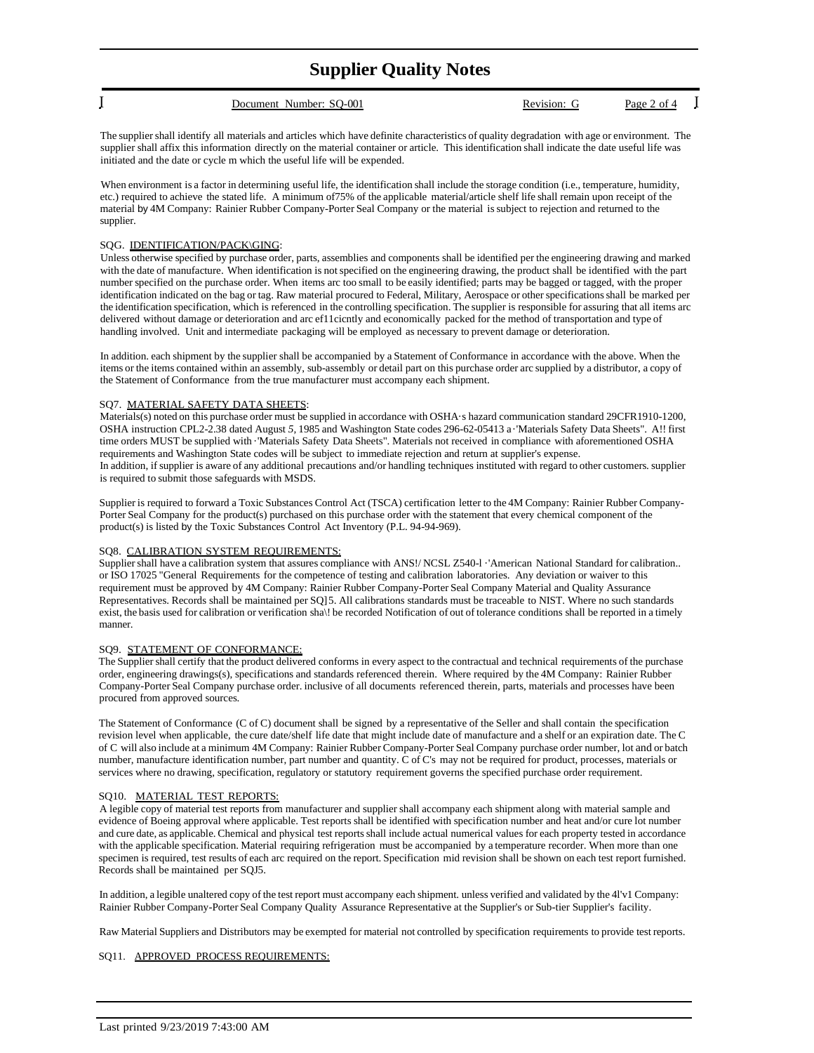## **Supplier Quality Notes**

| Document Number: SO-001 | Revision: C | Page 2 of 4 |
|-------------------------|-------------|-------------|
|                         |             |             |

The supplier shall identify all materials and articles which have definite characteristics of quality degradation with age or environment. The supplier shall affix this information directly on the material container or article. This identification shall indicate the date useful life was initiated and the date or cycle m which the useful life will be expended.

When environment is a factor in determining useful life, the identification shall include the storage condition (i.e., temperature, humidity, etc.) required to achieve the stated life. A minimum of75% of the applicable material/article shelf life shall remain upon receipt of the material by 4M Company: Rainier Rubber Company-Porter Seal Company or the material issubject to rejection and returned to the supplier.

### SQG. IDENTIFICATION/PACK\GING:

Unless otherwise specified by purchase order, parts, assemblies and components shall be identified per the engineering drawing and marked with the date of manufacture. When identification is notspecified on the engineering drawing, the product shall be identified with the part number specified on the purchase order. When items arc too small to be easily identified; parts may be bagged or tagged, with the proper identification indicated on the bag or tag. Raw material procured to Federal, Military, Aerospace or other specifications shall be marked per the identification specification, which is referenced in the controlling specification. The supplier is responsible for assuring that all items arc delivered without damage or deterioration and arc ef11cicntly and economically packed for the method of transportation and type of handling involved. Unit and intermediate packaging will be employed as necessary to prevent damage or deterioration.

In addition. each shipment by the supplier shall be accompanied by a Statement of Conformance in accordance with the above. When the items or the items contained within an assembly, sub-assembly or detail part on this purchase order arc supplied by a distributor, a copy of the Statement of Conformance from the true manufacturer must accompany each shipment.

### SQ7. MATERIAL SAFETY DATA SHEETS:

Materials(s) noted on this purchase order must be supplied in accordance with OSHA·s hazard communication standard 29CFR1910-1200, OSHA instruction CPL2-2.38 dated August *5,* 1985 and Washington State codes 296-62-05413 a·'Materials Safety Data Sheets". A!! first time orders MUST be supplied with ·'Materials Safety Data Sheets". Materials not received in compliance with aforementioned OSHA requirements and Washington State codes will be subject to immediate rejection and return at supplier's expense. In addition, if supplier is aware of any additional precautions and/or handling techniques instituted with regard to other customers. supplier is required to submit those safeguards with MSDS.

Supplier is required to forward a Toxic Substances Control Act (TSCA) certification letter to the 4M Company: Rainier Rubber Company-Porter Seal Company for the product(s) purchased on this purchase order with the statement that every chemical component of the product(s) is listed by the Toxic Substances Control Act Inventory (P.L. 94-94-969).

### SQ8. CALIBRATION SYSTEM REQUIREMENTS:

Supplier shall have a calibration system that assures compliance with ANS!/ NCSL Z540-l · 'American National Standard for calibration.. or ISO 17025 "General Requirements for the competence of testing and calibration laboratories. Any deviation or waiver to this requirement must be approved by 4M Company: Rainier Rubber Company-Porter Seal Company Material and Quality Assurance Representatives. Records shall be maintained per SQ]5. All calibrations standards must be traceable to NIST. Where no such standards exist, the basis used for calibration or verification sha\! be recorded Notification of out of tolerance conditions shall be reported in a timely manner.

### SQ9. STATEMENT OF CONFORMANCE:

The Supplier shall certify that the product delivered conforms in every aspect to the contractual and technical requirements of the purchase order, engineering drawings(s), specifications and standards referenced therein. Where required by the 4M Company: Rainier Rubber Company-Porter Seal Company purchase order. inclusive of all documents referenced therein, parts, materials and processes have been procured from approved sources.

The Statement of Conformance (C of C) document shall be signed by a representative of the Seller and shall contain the specification revision level when applicable, the cure date/shelf life date that might include date of manufacture and a shelf or an expiration date. The C of C will also include at a minimum 4M Company: Rainier Rubber Company-Porter Seal Company purchase order number, lot and or batch number, manufacture identification number, part number and quantity. C of C's may not be required for product, processes, materials or services where no drawing, specification, regulatory or statutory requirement governs the specified purchase order requirement.

### SQ10. MATERIAL TEST REPORTS:

A legible copy of material test reports from manufacturer and supplier shall accompany each shipment along with material sample and evidence of Boeing approval where applicable. Test reports shall be identified with specification number and heat and/or cure lot number and cure date, as applicable. Chemical and physical test reportsshall include actual numerical values for each property tested in accordance with the applicable specification. Material requiring refrigeration must be accompanied by a temperature recorder. When more than one specimen is required, test results of each arc required on the report. Specification mid revision shall be shown on each test report furnished. Records shall be maintained per SQJ5.

In addition, a legible unaltered copy of the test report must accompany each shipment. unless verified and validated by the 4l'v1 Company: Rainier Rubber Company-Porter Seal Company Quality Assurance Representative at the Supplier's or Sub-tier Supplier's facility.

Raw Material Suppliers and Distributors may be exempted for material not controlled by specification requirements to provide test reports.

### SQ11. APPROVED PROCESS REQUIREMENTS: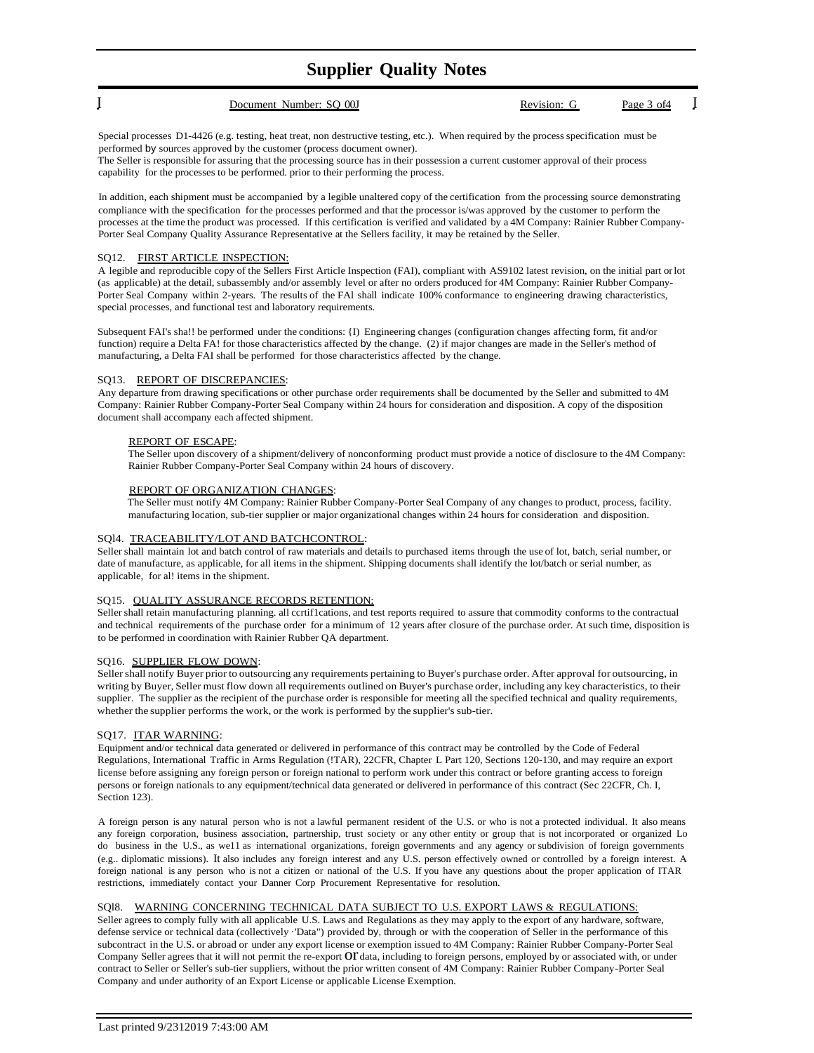## **Supplier Quality Notes**

Special processes D1-4426 (e.g. testing, heat treat, non destructive testing, etc.). When required by the process specification must be performed by sources approved by the customer (process document owner).

The Seller is responsible for assuring that the processing source has in their possession a current customer approval of their process capability for the processes to be performed. prior to their performing the process.

In addition, each shipment must be accompanied by a legible unaltered copy of the certification from the processing source demonstrating compliance with the specification for the processes performed and that the processor is/was approved by the customer to perform the processes at the time the product was processed. If this certification is verified and validated by a 4M Company: Rainier Rubber Company-Porter Seal Company Quality Assurance Representative at the Sellers facility, it may be retained by the Seller.

### SQ12. FIRST ARTICLE INSPECTION:

A legible and reproducible copy of the Sellers First Article Inspection (FAI), compliant with AS9102 latest revision, on the initial part orlot (as applicable) at the detail, subassembly and/or assembly level or after no orders produced for 4M Company: Rainier Rubber Company-Porter Seal Company within 2-years. The results of the FAl shall indicate 100% conformance to engineering drawing characteristics, special processes, and functional test and laboratory requirements.

Subsequent FAI's sha!! be performed under the conditions: {I) Engineering changes (configuration changes affecting form, fit and/or function) require a Delta FA! for those characteristics affected by the change. (2) if major changes are made in the Seller's method of manufacturing, a Delta FAI shall be performed for those characteristics affected by the change.

### SQ13. REPORT OF DISCREPANCIES:

Any departure from drawing specifications or other purchase order requirements shall be documented by the Seller and submitted to 4M Company: Rainier Rubber Company-Porter Seal Company within 24 hours for consideration and disposition. A copy of the disposition document shall accompany each affected shipment.

### REPORT OF ESCAPE:

The Seller upon discovery of a shipment/delivery of nonconforming product must provide a notice of disclosure to the 4M Company: Rainier Rubber Company-Porter Seal Company within 24 hours of discovery.

### REPORT OF ORGANIZATION CHANGES:

The Seller must notify 4M Company: Rainier Rubber Company-Porter Seal Company of any changes to product, process, facility. manufacturing location, sub-tier supplier or major organizational changes within 24 hours for consideration and disposition.

### SQl4. TRACEABILITY/LOT AND BATCHCONTROL:

Seller shall maintain lot and batch control of raw materials and details to purchased items through the use of lot, batch, serial number, or date of manufacture, as applicable, for all items in the shipment. Shipping documents shall identify the lot/batch or serial number, as applicable, for al! items in the shipment.

### SQ15. QUALITY ASSURANCE RECORDS RETENTION:

Seller shall retain manufacturing planning. all ccrtif1cations, and test reports required to assure that commodity conforms to the contractual and technical requirements of the purchase order for a minimum of 12 years after closure of the purchase order. At such time, disposition is to be performed in coordination with Rainier Rubber QA department.

### SQ16. SUPPLIER FLOW DOWN:

Seller shall notify Buyer prior to outsourcing any requirements pertaining to Buyer's purchase order. After approval for outsourcing, in writing by Buyer, Seller must flow down all requirements outlined on Buyer's purchase order, including any key characteristics, to their supplier. The supplier as the recipient of the purchase order is responsible for meeting all the specified technical and quality requirements, whether the supplier performs the work, or the work is performed by the supplier's sub-tier.

### SQ17. ITAR WARNING:

Equipment and/or technical data generated or delivered in performance of this contract may be controlled by the Code of Federal Regulations, International Traffic in Arms Regulation (!TAR), 22CFR, Chapter L Part 120, Sections 120-130, and may require an export license before assigning any foreign person or foreign national to perform work under this contract or before granting access to foreign persons or foreign nationals to any equipment/technical data generated or delivered in performance of this contract (Sec 22CFR, Ch. I, Section 123).

A foreign person is any natural person who is not a lawful permanent resident of the U.S. or who is not a protected individual. It also means any foreign corporation, business association, partnership, trust society or any other entity or group that is not incorporated or organized Lo do business in the U.S., as we11 as international organizations, foreign governments and any agency or subdivision of foreign governments (e.g.. diplomatic missions). It also includes any foreign interest and any U.S. person effectively owned or controlled by a foreign interest. A foreign national is any person who is not a citizen or national of the U.S. If you have any questions about the proper application of ITAR restrictions, immediately contact your Danner Corp Procurement Representative for resolution.

### SQl8. WARNING CONCERNING TECHNICAL DATA SUBJECT TO U.S. EXPORT LAWS & REGULATIONS:

Seller agrees to comply fully with all applicable U.S. Laws and Regulations as they may apply to the export of any hardware, software, defense service or technical data (collectively ·'Data") provided by, through or with the cooperation of Seller in the performance of this subcontract in the U.S. or abroad or under any export license or exemption issued to 4M Company: Rainier Rubber Company-Porter Seal Company Seller agrees that it will not permit the re-export Of data, including to foreign persons, employed by or associated with, or under contract to Seller or Seller's sub-tier suppliers, without the prior written consent of 4M Company: Rainier Rubber Company-Porter Seal Company and under authority of an Export License or applicable License Exemption.

I Document Number: SQ 00J Revision: G Page 3 of4 I